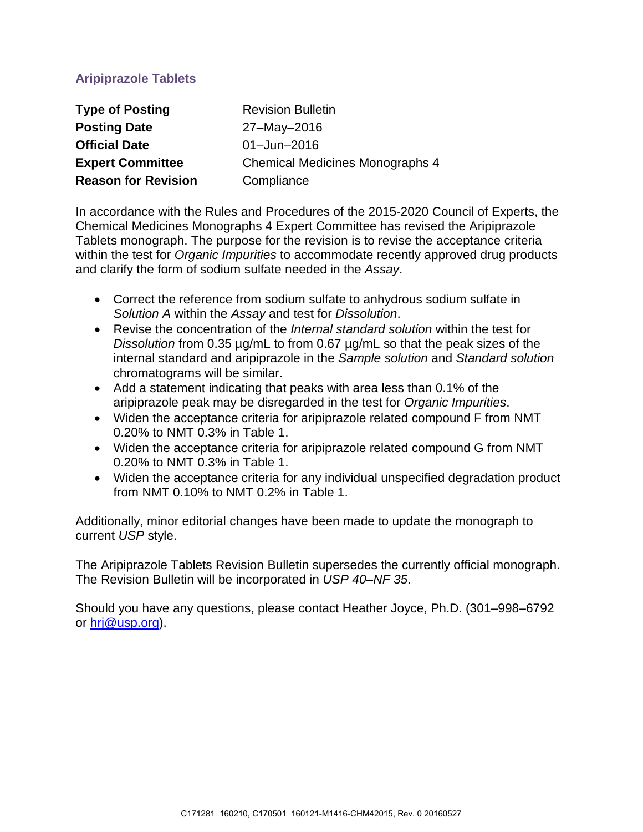# **Aripiprazole Tablets**

| <b>Type of Posting</b>     | <b>Revision Bulletin</b>               |
|----------------------------|----------------------------------------|
| <b>Posting Date</b>        | 27-May-2016                            |
| <b>Official Date</b>       | $01 -$ Jun $-2016$                     |
| <b>Expert Committee</b>    | <b>Chemical Medicines Monographs 4</b> |
| <b>Reason for Revision</b> | Compliance                             |

In accordance with the Rules and Procedures of the 2015-2020 Council of Experts, the Chemical Medicines Monographs 4 Expert Committee has revised the Aripiprazole Tablets monograph. The purpose for the revision is to revise the acceptance criteria within the test for *Organic Impurities* to accommodate recently approved drug products and clarify the form of sodium sulfate needed in the *Assay*.

- Correct the reference from sodium sulfate to anhydrous sodium sulfate in *Solution A* within the *Assay* and test for *Dissolution*.
- Revise the concentration of the *Internal standard solution* within the test for *Dissolution* from 0.35 µg/mL to from 0.67 µg/mL so that the peak sizes of the internal standard and aripiprazole in the *Sample solution* and *Standard solution* chromatograms will be similar.
- Add a statement indicating that peaks with area less than 0.1% of the aripiprazole peak may be disregarded in the test for *Organic Impurities*.
- Widen the acceptance criteria for aripiprazole related compound F from NMT 0.20% to NMT 0.3% in Table 1.
- Widen the acceptance criteria for aripiprazole related compound G from NMT 0.20% to NMT 0.3% in Table 1.
- Widen the acceptance criteria for any individual unspecified degradation product from NMT 0.10% to NMT 0.2% in Table 1.

Additionally, minor editorial changes have been made to update the monograph to current *USP* style.

The Aripiprazole Tablets Revision Bulletin supersedes the currently official monograph. The Revision Bulletin will be incorporated in *USP 40–NF 35*.

Should you have any questions, please contact Heather Joyce, Ph.D. (301–998–6792 or [hrj@usp.org\)](mailto:hrj@usp.org).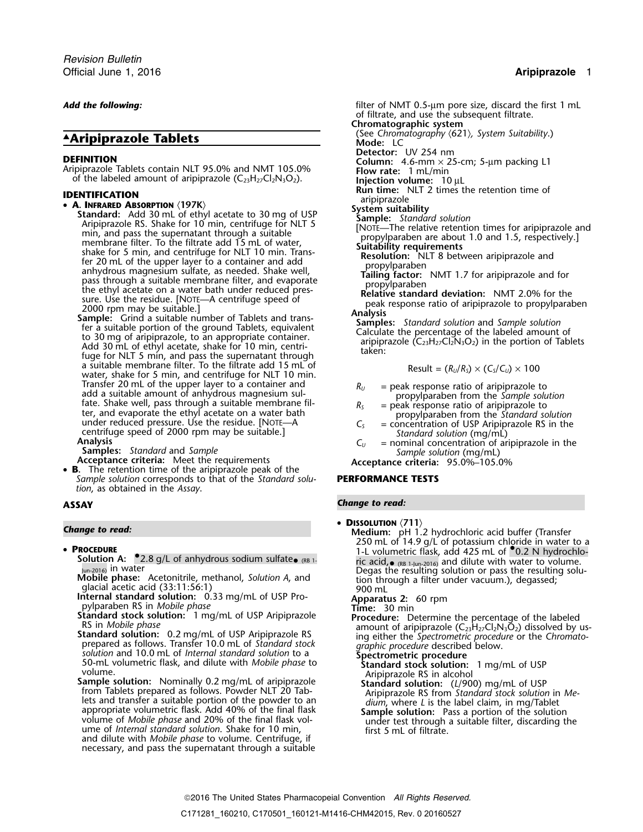# **Aripiprazole Tablets**

- **A. INFRARED ABSORPTION** (197K) Standard Celtyl acetate to 30 mg of USP<br>
Standard solution<br>
Aripiprazole RS. Shake for 10 min, centrifuge for NLT 5<br>
min, and pass the superal mathematic through a suitable in through a s
	- a suitable membrane filter. To the filtrate add 15 mL of water, shake for 5 min, and centrifuge for NLT 10 min.<br>Transfer 20 mL of the upper layer to a container and Fransfer 20 mL of the upper layer to a container and<br>add a suitable amount of anhydrous magnesium sul-<br>fate. Shake well, pass through a suitable membrane fil-<br>ter, and evaporate the ethyl acetate on a water bath<br>under red under reduced pressure. Use the residue. [NOTE—A  $C_s$  = concentration of USP Aripiprazole RS in the<br>centrifuge speed of 2000 rpm may be suitable.]<br>**Analysis**  $C_U$  = nominal concentration of aripiprazole in the<br>**Samples:**

- 
- **B.** The retention time of the aripiprazole peak of the *Sample solution* corresponds to that of the *Standard solu-* **PERFORMANCE TESTS** *tion*, as obtained in the *Assay*.

## • PROCEDURE

glacial acetic acid (33:11:56:1) 900 mL

**Internal standard solution:** 0.33 mg/mL of USP Pro-<br>
pylparaben RS in *Mobile phase*<br> **Internal standard Solution:** 10 min pylparaben RS in *Mobile phase*<br>**Standard stock solution:** 1 mg/mL of USP Aripiprazole

- 
- prepared as follows. Transfer 10.0 mL of *Standard stock solution* and 10.0 mL of *Internal standard solution* to a
- Solution and 10.0 mL of *Internal standard solution* to a<br>
50-mL volumetric flask, and dilute with *Mobile phase* to<br>
volume.<br> **Sample solution:** Nominally 0.2 mg/mL of aripiprazole<br> **Sample solution:** Nominally 0.2 mg/mL lets and transfer a suitable portion of the powder to an *dium*, where *L* is the label claim, in mg/Tablet expression in the same call that the same solution. Shake the same solution is a performance of the solution of the solution of the solution of the solution of the solution of the solution of the solution of the solution o and dilute with *Mobile phase* to volume. Centrifuge, if necessary, and pass the supernatant through a suitable

Add the following: **Add the following: filter of NMT** 0.5-µm pore size, discard the first 1 mL of filtrate, and use the subsequent filtrate. **Chromatographic system** ▲ (See *Chromatography* 〈621〉*, System Suitability*.) **Detector:** UV 254 nm **DEFINITION**<br>Aripiprazole Tablets contain NLT 95.0% and NMT 105.0%<br>of the labeled amount of aripiprazole (C<sub>23</sub>H<sub>27</sub>Cl<sub>2</sub>N<sub>3</sub>O<sub>2</sub>). **and interview in the labeled** amount of aripiprazole (C<sub>23</sub>H<sub>27</sub>Cl<sub>2</sub>N<sub>3</sub>O<sub>2</sub>). **and int IDENTIFICATION**<br> **Run time:** NLT 2 times the retention time of aripiprazole<br> **System suitability**<br>
System suitability

$$
Result = (R_U/R_S) \times (C_S/C_U) \times 100
$$

- 
- 
- 
- 
- 

## **ASSAY** *Change to read:*

• Dissolution  $\langle 711 \rangle$ 

**Change to read: Change to read: Medium: Medium:** pH 1.2 hydrochloric acid buffer (Transfer (Transfer ) **PROCEDURE**<br>1-L volumetric flask, add 425 mL of <sup>●</sup>0.2 N hydrochlo-<br>- Solution A: <sup>●</sup>2.8 g/L of anhydrous sodium sulfate• (RB 1-•  $(RB 1-$  ric acid<sub>,•</sub>  $(RB 1-)$ un-2016) and dilute with water to volume. Jun-2016) in water Degas the resulting solution or pass the resulting solu- **Mobile phase:** Acetonitrile, methanol, *Solution A*, and tion through a filter under vacuum.), degassed;

**Standard stock solution:** 1 mg/mL of USP Aripiprazole **Procedure:** Determine the percentage of the labeled<br>RS in *Mobile phase* amount of aripiprazole ( $C_{23}H_{27}C_2N_3O_2$ ) dissolved by us-<br>**Standard solution:** 0.2 mg/

- 
-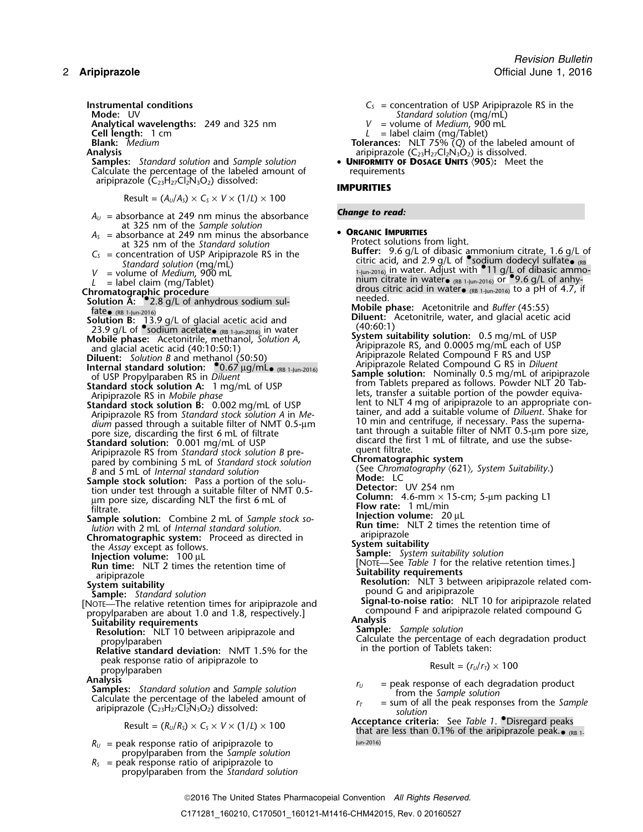**Analytical wavelengths:** 249 and 325 nm **Cell length:** 1 cm **Cell length:** 1 cm *L* = label claim (mg/Tablet)

Calculate the percentage of the labeled amount of aripiprazole (C23H27Cl2N3O2) dissolved: **IMPURITIES**

Result = 
$$
(A_U/A_S) \times C_S \times V \times (1/L) \times 100
$$

- $A_U$  = absorbance at 249 nm minus the absorbance **Change to read:** at 325 nm of the *Sample solution*<br> $A_s$  = absorbance at 249 nm minus the absorbance
- 
- -
- 
- 
- **Solution A: •...** 2.8 g/L of anhydrous sodium sul-<br>**Solution A: •...** 2.8 g/L of anhydrous sodium sul-<br>fate<sub>● (RB 1-lun-2016)</sub>
- 
- 
- 
- 
- 
- 
- pared by combining 5 mL of *Standard stock solution* **Chromatographic system** (See *Chromatography* 〈621〉*, System Suitability*.) *<sup>B</sup>* and 5 mL of *Internal standard solution*
- **Sample stock solution:** Pass a portion of the solu- **Mode:** LC tion under test through a suitable filter of NMT 0.5-<br>
um pore size, discarding NLT the first 6 mL of **Column:** 4.6-mm × 15-cm; 5-µm packing L1
- Filtrate.<br>
Sample solution: Combine 2 mL of Sample stock so-<br>
lution with 2 mL of Internal standard solution.<br>
Chromatographic system: Proceed as directed in aripiprazole
- 
- 
- 
- 
- 

NOTE—The relative retention times for aripiprazole and<br>propylparaben are about 1.0 and 1.8, respectively.] compound F and aripiprazole related compound G<br>Suitability requirements<br>Suitability requirements

- 
- peak response ratio of aripiprazole to<br>propylparaben<br>**Analysis**
- 

**Samples:** Standard solution and Sample solution<br>
Calculate the percentage of the labeled amount of<br>
aripiprazole (C<sub>23</sub>H<sub>27</sub>Cl<sub>2</sub>N<sub>3</sub>O<sub>2</sub>) dissolved:<br>  $r_T$  = sum of all the peak responses from the Sample<br>
solution

- $R_U$  = peak response ratio of aripiprazole to  $U_{\text{un-2016}}$ propylparaben from the *Sample solution*
- $R<sub>S</sub>$  = peak response ratio of aripiprazole to propylparaben from the *Standard solution*
- **Instrumental conditions**<br>**Instrumental conditions C**<sub>S</sub> = concentration of USP Aripiprazole RS in the<br>Standard solution (ma/mL)
	- **Mode Standard solution (mg/mL)**<br>V = volume of *Medium*, 900 mL
	-
- **Blank:** *Medium* **Tolerances:** NLT 75% (*Q*) of the labeled amount of **Analysis** aripiprazole (C<sub>23</sub>H<sub>27</sub>Cl<sub>2</sub>N<sub>3</sub>O<sub>2</sub>) is dissolved.
- **Samples:** *Standard solution* and *Sample solution* **UNIFORMITY OF DOSAGE UNITS** 〈**905**〉**:** Meet the

- $A_s$  = absorbance at 249 nm minus the absorbance<br>
at 325 nm of the *Standard solution*<br>  $C_s$  = concentration of USP Aripiprazole RS in the<br>
Standard solution (ma/m) Standard solution (mg/mL)<br>V = volume of Medium, 900 mL<br>L = label claim (mg/Tablet) and the state of the state of the state of the state of the state of the state of the state of the state of the state of the state of the **Chromatographic procedure** drous citric acid in water• (RB 1-Jun-2016) to a pH of 4.7, if
- Fate (RB 1-Jun-2016)<br> **Solution B:** 13.9 g/L of glacial acetic acid and **Diluent:** Acetonitrile, water, and glacial acetic acid<br>
23.9 g/L of •sodium acetate (RB 1-Jun-2016) in water **Supplements of the Supplement of the C**
- **Mobile phase:** System suitability solution: 0.5 mg/mL of USP<br>and glacial acetic acid (40:10:50:1) and glacial acetic acid (40:10:50:1) and glacial acetic acid (40:10:50:1) and methanol (50:50) and methanol and methanol (5
- **Diluent:** Solution B and methanol (50:50) Aripiprazole Related Compound F RS and USP<br> **Internal standard solution:** •0.67 µg/mL• (RB 1-Jun-2016) Aripiprazole Related Compound G RS in *Diluent*<br>
of USP Propylparaben RS in Standard stock solution A: 1 mg/mL of USP<br>Aripiprazole RS in Mobile phase<br>Standard stock solution B: 0.002 mg/mL of USP<br>Aripiprazole RS from Standard stock solution B: 0.002 mg/mL of USP<br>Aripiprazole RS from Standard stock
	-

- 
- 
- 
- 
- 
- 
- 
- Chromatographic system: Proceed as directed in<br>
the Assay except as follows.<br>
Injection volume: 100 µL<br>
Run time: NLT 2 times the retention time of<br>
aripiprazole<br>
System suitability solution<br>
Sample: System suitability sol
	-
	-
	- Resolution: NLT 10 between aripiprazole and<br>
	propylparaben<br>
	Propylparaben<br>
	Relative standard deviation: NMT 1.5% for the<br>
	Relative standard deviation: NMT 1.5% for the<br>
	in the portion of Tablets taken:

$$
Result = (r_U/r_T) \times 100
$$

- 
- 
- $\text{Result} = (R_U/R_S) \times C_S \times V \times (1/L) \times 100$  **Acceptance criteria:** See *Table 1*.  $\bullet$  Disregard peaks than 0.1% of the aripiprazole peak.  $\bullet$  (RB 1-